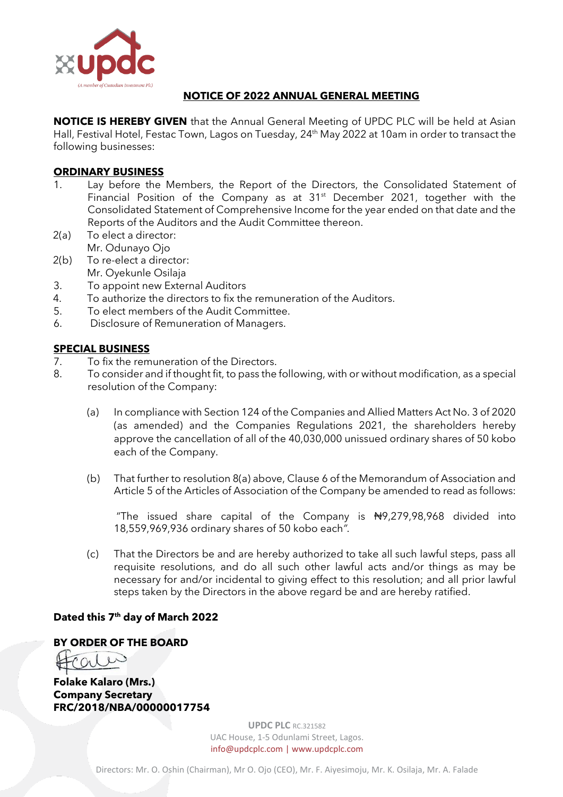

## **NOTICE OF 2022 ANNUAL GENERAL MEETING**

**NOTICE IS HEREBY GIVEN** that the Annual General Meeting of UPDC PLC will be held at Asian Hall, Festival Hotel, Festac Town, Lagos on Tuesday, 24<sup>th</sup> May 2022 at 10am in order to transact the following businesses:

#### **ORDINARY BUSINESS**

- 1. Lay before the Members, the Report of the Directors, the Consolidated Statement of Financial Position of the Company as at 31<sup>st</sup> December 2021, together with the Consolidated Statement of Comprehensive Income for the year ended on that date and the Reports of the Auditors and the Audit Committee thereon.
- 2(a) To elect a director: Mr. Odunayo Ojo
- 2(b) To re-elect a director: Mr. Oyekunle Osilaja
- 3. To appoint new External Auditors
- 4. To authorize the directors to fix the remuneration of the Auditors.
- 5. To elect members of the Audit Committee.
- 6. Disclosure of Remuneration of Managers.

#### **SPECIAL BUSINESS**

- 7. To fix the remuneration of the Directors.
- 8. To consider and if thought fit, to pass the following, with or without modification, as a special resolution of the Company:
	- (a) In compliance with Section 124 of the Companies and Allied Matters Act No. 3 of 2020 (as amended) and the Companies Regulations 2021, the shareholders hereby approve the cancellation of all of the 40,030,000 unissued ordinary shares of 50 kobo each of the Company.
	- (b) That further to resolution 8(a) above, Clause 6 of the Memorandum of Association and Article 5 of the Articles of Association of the Company be amended to read as follows:

"The issued share capital of the Company is  $H9,279,98,968$  divided into 18,559,969,936 ordinary shares of 50 kobo each*".*

(c) That the Directors be and are hereby authorized to take all such lawful steps, pass all requisite resolutions, and do all such other lawful acts and/or things as may be necessary for and/or incidental to giving effect to this resolution; and all prior lawful steps taken by the Directors in the above regard be and are hereby ratified.

#### **Dated this 7th day of March 2022**

#### **BY ORDER OF THE BOARD**

**Folake Kalaro (Mrs.) Company Secretary FRC/2018/NBA/00000017754**

> **UPDC PLC** RC.321582 UAC House, 1-5 Odunlami Street, Lagos. info@updcplc.com [| www.updcplc.com](http://www.updcplc.com/)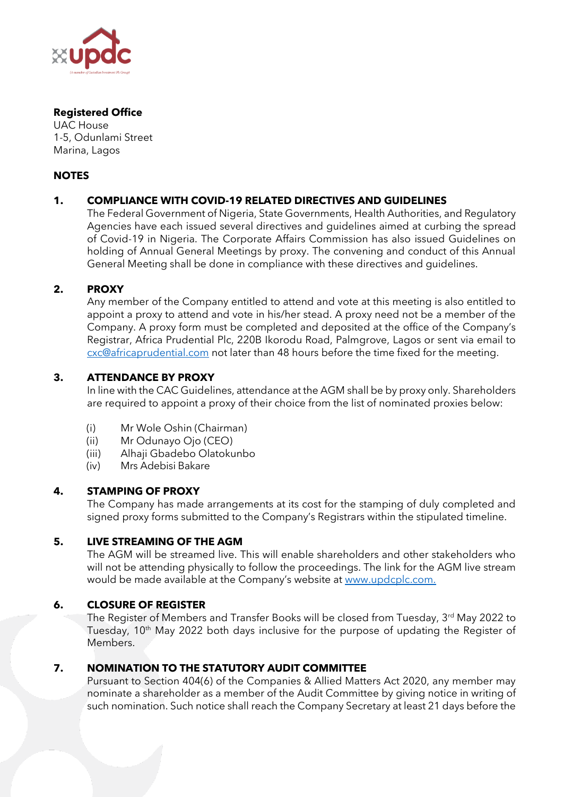

### **Registered Office**

UAC House 1-5, Odunlami Street Marina, Lagos

## **NOTES**

# **1. COMPLIANCE WITH COVID-19 RELATED DIRECTIVES AND GUIDELINES**

The Federal Government of Nigeria, State Governments, Health Authorities, and Regulatory Agencies have each issued several directives and guidelines aimed at curbing the spread of Covid-19 in Nigeria. The Corporate Affairs Commission has also issued Guidelines on holding of Annual General Meetings by proxy. The convening and conduct of this Annual General Meeting shall be done in compliance with these directives and guidelines.

## **2. PROXY**

Any member of the Company entitled to attend and vote at this meeting is also entitled to appoint a proxy to attend and vote in his/her stead. A proxy need not be a member of the Company. A proxy form must be completed and deposited at the office of the Company's Registrar, Africa Prudential Plc, 220B Ikorodu Road, Palmgrove, Lagos or sent via email to [cxc@africaprudential.com](mailto:cxc@africaprudential.com) not later than 48 hours before the time fixed for the meeting.

## **3. ATTENDANCE BY PROXY**

In line with the CAC Guidelines, attendance at the AGM shall be by proxy only. Shareholders are required to appoint a proxy of their choice from the list of nominated proxies below:

- (i) Mr Wole Oshin (Chairman)
- (ii) Mr Odunayo Ojo (CEO)
- (iii) Alhaji Gbadebo Olatokunbo
- (iv) Mrs Adebisi Bakare

#### **4. STAMPING OF PROXY**

The Company has made arrangements at its cost for the stamping of duly completed and signed proxy forms submitted to the Company's Registrars within the stipulated timeline.

#### **5. LIVE STREAMING OF THE AGM**

The AGM will be streamed live. This will enable shareholders and other stakeholders who will not be attending physically to follow the proceedings. The link for the AGM live stream would be made available at the Company's website at [www.updcplc.com.](http://www.updcplc.com/)

## **6. CLOSURE OF REGISTER**

The Register of Members and Transfer Books will be closed from Tuesday, 3rd May 2022 to Tuesday, 10<sup>th</sup> May 2022 both days inclusive for the purpose of updating the Register of Members.

## **7. NOMINATION TO THE STATUTORY AUDIT COMMITTEE**

Pursuant to Section 404(6) of the Companies & Allied Matters Act 2020, any member may nominate a shareholder as a member of the Audit Committee by giving notice in writing of such nomination. Such notice shall reach the Company Secretary at least 21 days before the